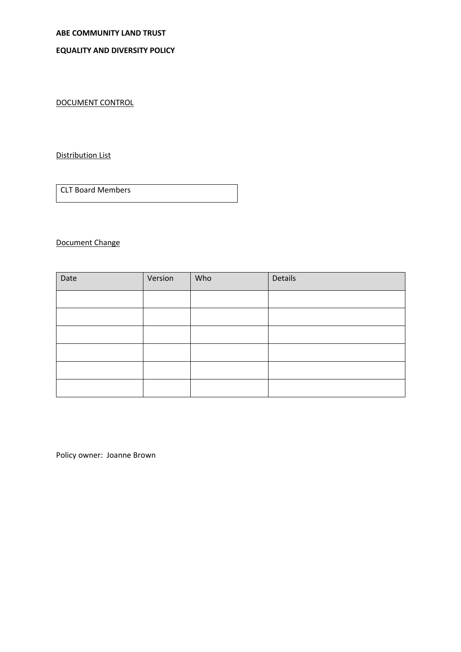# **ABE COMMUNITY LAND TRUST**

## **EQUALITY AND DIVERSITY POLICY**

DOCUMENT CONTROL

## Distribution List

CLT Board Members

## Document Change

| Date | Version | Who | Details |
|------|---------|-----|---------|
|      |         |     |         |
|      |         |     |         |
|      |         |     |         |
|      |         |     |         |
|      |         |     |         |
|      |         |     |         |

Policy owner: Joanne Brown